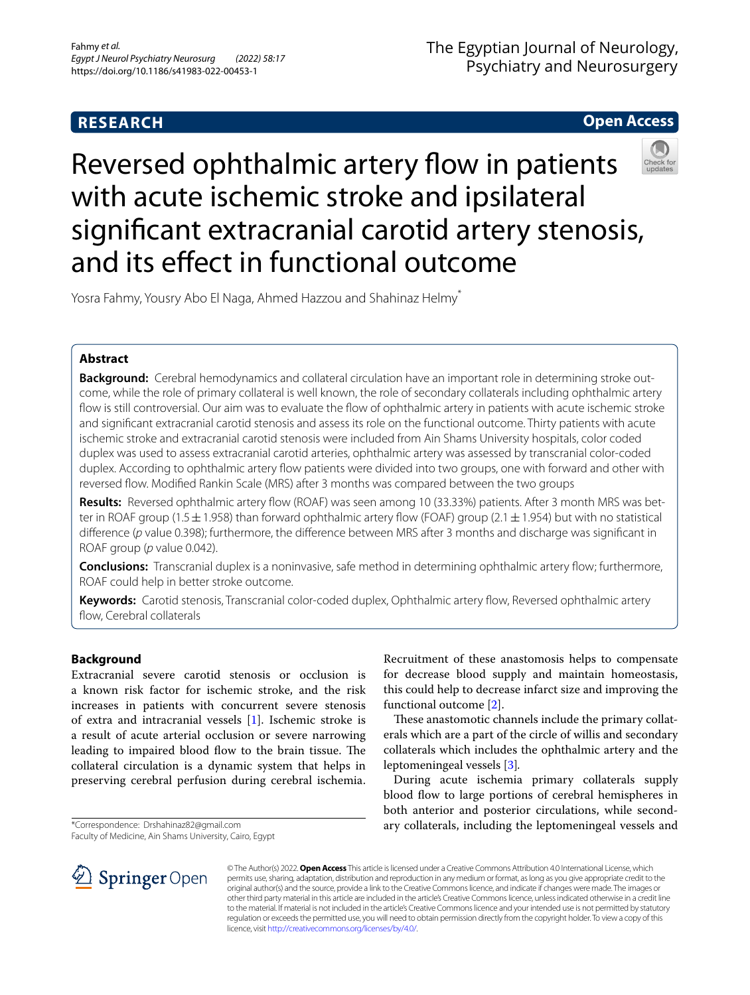# **RESEARCH**

**Open Access**

# Reversed ophthalmic artery flow in patients with acute ischemic stroke and ipsilateral signifcant extracranial carotid artery stenosis, and its efect in functional outcome

Yosra Fahmy, Yousry Abo El Naga, Ahmed Hazzou and Shahinaz Helmy\*

# **Abstract**

**Background:** Cerebral hemodynamics and collateral circulation have an important role in determining stroke outcome, while the role of primary collateral is well known, the role of secondary collaterals including ophthalmic artery fow is still controversial. Our aim was to evaluate the fow of ophthalmic artery in patients with acute ischemic stroke and signifcant extracranial carotid stenosis and assess its role on the functional outcome. Thirty patients with acute ischemic stroke and extracranial carotid stenosis were included from Ain Shams University hospitals, color coded duplex was used to assess extracranial carotid arteries, ophthalmic artery was assessed by transcranial color-coded duplex. According to ophthalmic artery fow patients were divided into two groups, one with forward and other with reversed fow. Modifed Rankin Scale (MRS) after 3 months was compared between the two groups

**Results:** Reversed ophthalmic artery fow (ROAF) was seen among 10 (33.33%) patients. After 3 month MRS was better in ROAF group (1.5 $\pm$ 1.958) than forward ophthalmic artery flow (FOAF) group (2.1 $\pm$ 1.954) but with no statistical difference (p value 0.398); furthermore, the difference between MRS after 3 months and discharge was significant in ROAF group (*p* value 0.042).

**Conclusions:** Transcranial duplex is a noninvasive, safe method in determining ophthalmic artery fow; furthermore, ROAF could help in better stroke outcome.

**Keywords:** Carotid stenosis, Transcranial color-coded duplex, Ophthalmic artery fow, Reversed ophthalmic artery fow, Cerebral collaterals

# **Background**

Extracranial severe carotid stenosis or occlusion is a known risk factor for ischemic stroke, and the risk increases in patients with concurrent severe stenosis of extra and intracranial vessels [\[1](#page-4-0)]. Ischemic stroke is a result of acute arterial occlusion or severe narrowing leading to impaired blood flow to the brain tissue. The collateral circulation is a dynamic system that helps in preserving cerebral perfusion during cerebral ischemia.

\*Correspondence: Drshahinaz82@gmail.com

Faculty of Medicine, Ain Shams University, Cairo, Egypt

Recruitment of these anastomosis helps to compensate for decrease blood supply and maintain homeostasis, this could help to decrease infarct size and improving the functional outcome [\[2](#page-4-1)].

These anastomotic channels include the primary collaterals which are a part of the circle of willis and secondary collaterals which includes the ophthalmic artery and the leptomeningeal vessels [\[3](#page-4-2)]*.*

During acute ischemia primary collaterals supply blood flow to large portions of cerebral hemispheres in both anterior and posterior circulations, while secondary collaterals, including the leptomeningeal vessels and



© The Author(s) 2022. **Open Access** This article is licensed under a Creative Commons Attribution 4.0 International License, which permits use, sharing, adaptation, distribution and reproduction in any medium or format, as long as you give appropriate credit to the original author(s) and the source, provide a link to the Creative Commons licence, and indicate if changes were made. The images or other third party material in this article are included in the article's Creative Commons licence, unless indicated otherwise in a credit line to the material. If material is not included in the article's Creative Commons licence and your intended use is not permitted by statutory regulation or exceeds the permitted use, you will need to obtain permission directly from the copyright holder. To view a copy of this licence, visit [http://creativecommons.org/licenses/by/4.0/.](http://creativecommons.org/licenses/by/4.0/)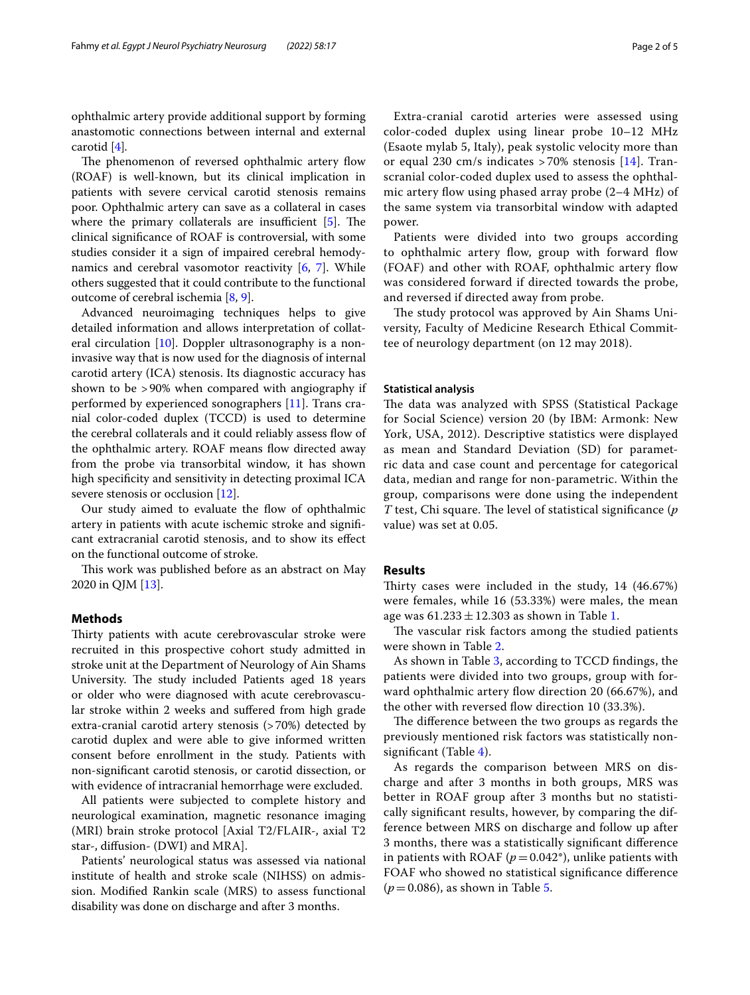ophthalmic artery provide additional support by forming anastomotic connections between internal and external carotid [\[4](#page-4-3)]*.*

The phenomenon of reversed ophthalmic artery flow (ROAF) is well-known, but its clinical implication in patients with severe cervical carotid stenosis remains poor. Ophthalmic artery can save as a collateral in cases where the primary collaterals are insufficient  $[5]$  $[5]$ . The clinical signifcance of ROAF is controversial, with some studies consider it a sign of impaired cerebral hemodynamics and cerebral vasomotor reactivity [[6,](#page-4-5) [7\]](#page-4-6). While others suggested that it could contribute to the functional outcome of cerebral ischemia [[8,](#page-4-7) [9](#page-4-8)].

Advanced neuroimaging techniques helps to give detailed information and allows interpretation of collateral circulation [\[10](#page-4-9)]. Doppler ultrasonography is a noninvasive way that is now used for the diagnosis of internal carotid artery (ICA) stenosis. Its diagnostic accuracy has shown to be >90% when compared with angiography if performed by experienced sonographers [[11\]](#page-4-10). Trans cranial color-coded duplex (TCCD) is used to determine the cerebral collaterals and it could reliably assess fow of the ophthalmic artery. ROAF means flow directed away from the probe via transorbital window, it has shown high specifcity and sensitivity in detecting proximal ICA severe stenosis or occlusion [\[12\]](#page-4-11).

Our study aimed to evaluate the flow of ophthalmic artery in patients with acute ischemic stroke and signifcant extracranial carotid stenosis, and to show its efect on the functional outcome of stroke.

This work was published before as an abstract on May 2020 in QJM [[13](#page-4-12)].

## **Methods**

Thirty patients with acute cerebrovascular stroke were recruited in this prospective cohort study admitted in stroke unit at the Department of Neurology of Ain Shams University. The study included Patients aged 18 years or older who were diagnosed with acute cerebrovascular stroke within 2 weeks and sufered from high grade extra-cranial carotid artery stenosis (>70%) detected by carotid duplex and were able to give informed written consent before enrollment in the study. Patients with non-signifcant carotid stenosis, or carotid dissection, or with evidence of intracranial hemorrhage were excluded.

All patients were subjected to complete history and neurological examination, magnetic resonance imaging (MRI) brain stroke protocol [Axial T2/FLAIR-, axial T2 star-, difusion- (DWI) and MRA].

Patients' neurological status was assessed via national institute of health and stroke scale (NIHSS) on admission. Modifed Rankin scale (MRS) to assess functional disability was done on discharge and after 3 months.

(Esaote mylab 5, Italy), peak systolic velocity more than or equal 230 cm/s indicates  $> 70\%$  stenosis [[14\]](#page-4-13). Transcranial color-coded duplex used to assess the ophthalmic artery flow using phased array probe  $(2-4 \text{ MHz})$  of the same system via transorbital window with adapted power.

Patients were divided into two groups according to ophthalmic artery flow, group with forward flow (FOAF) and other with ROAF, ophthalmic artery fow was considered forward if directed towards the probe, and reversed if directed away from probe.

The study protocol was approved by Ain Shams University, Faculty of Medicine Research Ethical Committee of neurology department (on 12 may 2018).

#### **Statistical analysis**

The data was analyzed with SPSS (Statistical Package for Social Science) version 20 (by IBM: Armonk: New York, USA, 2012). Descriptive statistics were displayed as mean and Standard Deviation (SD) for parametric data and case count and percentage for categorical data, median and range for non-parametric. Within the group, comparisons were done using the independent *T* test, Chi square. The level of statistical significance (*p* value) was set at 0.05.

## **Results**

Thirty cases were included in the study,  $14$  (46.67%) were females, while 16 (53.33%) were males, the mean age was  $61.233 \pm 12.303$  $61.233 \pm 12.303$  $61.233 \pm 12.303$  as shown in Table 1.

The vascular risk factors among the studied patients were shown in Table [2](#page-2-1).

As shown in Table [3](#page-2-2), according to TCCD fndings, the patients were divided into two groups, group with forward ophthalmic artery flow direction 20 (66.67%), and the other with reversed flow direction 10 (33.3%).

The difference between the two groups as regards the previously mentioned risk factors was statistically nonsignificant (Table  $4$ ).

As regards the comparison between MRS on discharge and after 3 months in both groups, MRS was better in ROAF group after 3 months but no statistically signifcant results, however, by comparing the difference between MRS on discharge and follow up after 3 months, there was a statistically signifcant diference in patients with ROAF ( $p=0.042$ <sup>\*</sup>), unlike patients with FOAF who showed no statistical signifcance diference (*p*=0.086), as shown in Table [5.](#page-3-0)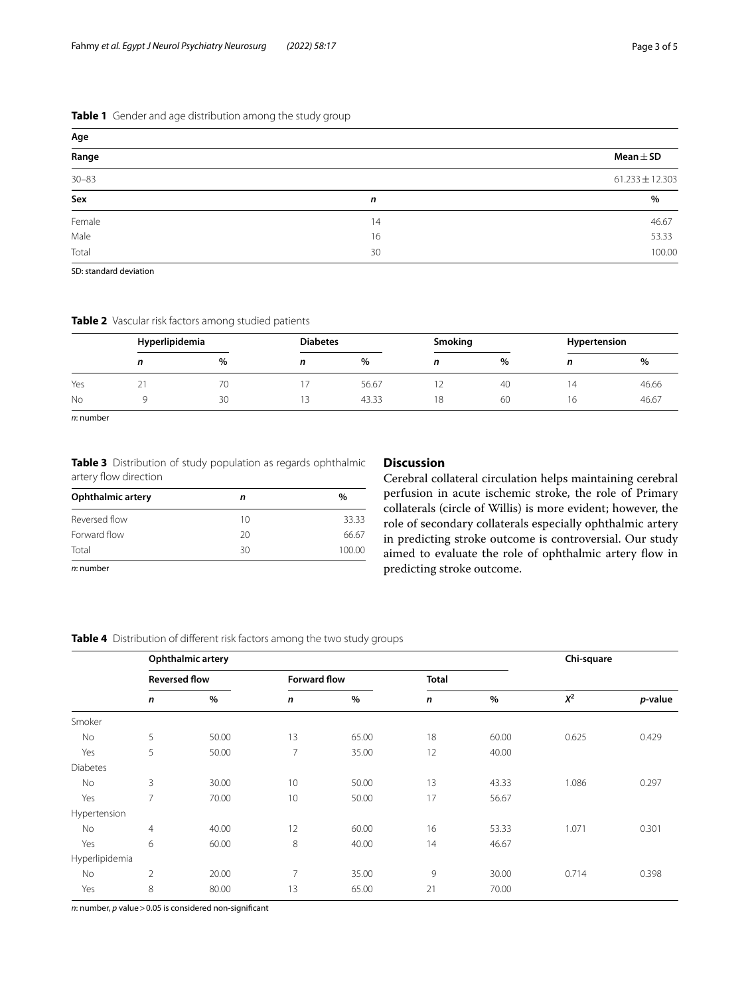## <span id="page-2-0"></span>**Table 1** Gender and age distribution among the study group

| Age       |    |                     |
|-----------|----|---------------------|
| Range     |    | Mean $\pm$ SD       |
| $30 - 83$ |    | $61.233 \pm 12.303$ |
| Sex       | n  | %                   |
| Female    | 14 | 46.67               |
| Male      | 16 | 53.33               |
| Total     | 30 | 100.00              |

SD: standard deviation

### <span id="page-2-1"></span>**Table 2** Vascular risk factors among studied patients

|     |   | Hyperlipidemia |   | <b>Diabetes</b> |    | Smoking |    | Hypertension |  |
|-----|---|----------------|---|-----------------|----|---------|----|--------------|--|
|     | n | $\%$           | n | %               | n  | $\%$    |    | %            |  |
| Yes | ∠ | ◡              |   | 56.67           | ∸  | 40      | Δ  | 46.66        |  |
| No  |   | 30             |   | 43.33           | 18 | 60      | 16 | 46.67        |  |

*n*: number

<span id="page-2-2"></span>**Table 3** Distribution of study population as regards ophthalmic artery flow direction

| <b>Ophthalmic artery</b> | n  | $\%$   |
|--------------------------|----|--------|
| Reversed flow            | 10 | 33.33  |
| Forward flow             | 20 | 66.67  |
| Total                    | 30 | 100.00 |
| the company of the state |    |        |

*n*: number

# **Discussion**

Cerebral collateral circulation helps maintaining cerebral perfusion in acute ischemic stroke, the role of Primary collaterals (circle of Willis) is more evident; however, the role of secondary collaterals especially ophthalmic artery in predicting stroke outcome is controversial. Our study aimed to evaluate the role of ophthalmic artery fow in predicting stroke outcome.

## <span id="page-2-3"></span>**Table 4** Distribution of different risk factors among the two study groups

|                 | Ophthalmic artery |                      |                |                     |              |              | Chi-square |         |
|-----------------|-------------------|----------------------|----------------|---------------------|--------------|--------------|------------|---------|
|                 |                   | <b>Reversed flow</b> |                | <b>Forward flow</b> |              | <b>Total</b> |            |         |
|                 | n                 | $\%$                 | n              | %                   | $\mathsf{n}$ | $\%$         | $\chi^2$   | p-value |
| Smoker          |                   |                      |                |                     |              |              |            |         |
| No              | 5                 | 50.00                | 13             | 65.00               | 18           | 60.00        | 0.625      | 0.429   |
| Yes             | 5                 | 50.00                | $\overline{7}$ | 35.00               | 12           | 40.00        |            |         |
| <b>Diabetes</b> |                   |                      |                |                     |              |              |            |         |
| No              | 3                 | 30.00                | 10             | 50.00               | 13           | 43.33        | 1.086      | 0.297   |
| Yes             | 7                 | 70.00                | 10             | 50.00               | 17           | 56.67        |            |         |
| Hypertension    |                   |                      |                |                     |              |              |            |         |
| No              | $\overline{4}$    | 40.00                | 12             | 60.00               | 16           | 53.33        | 1.071      | 0.301   |
| Yes             | 6                 | 60.00                | 8              | 40.00               | 14           | 46.67        |            |         |
| Hyperlipidemia  |                   |                      |                |                     |              |              |            |         |
| No              | 2                 | 20.00                | 7              | 35.00               | 9            | 30.00        | 0.714      | 0.398   |
| Yes             | 8                 | 80.00                | 13             | 65.00               | 21           | 70.00        |            |         |

*n*: number, *p* value > 0.05 is considered non-significant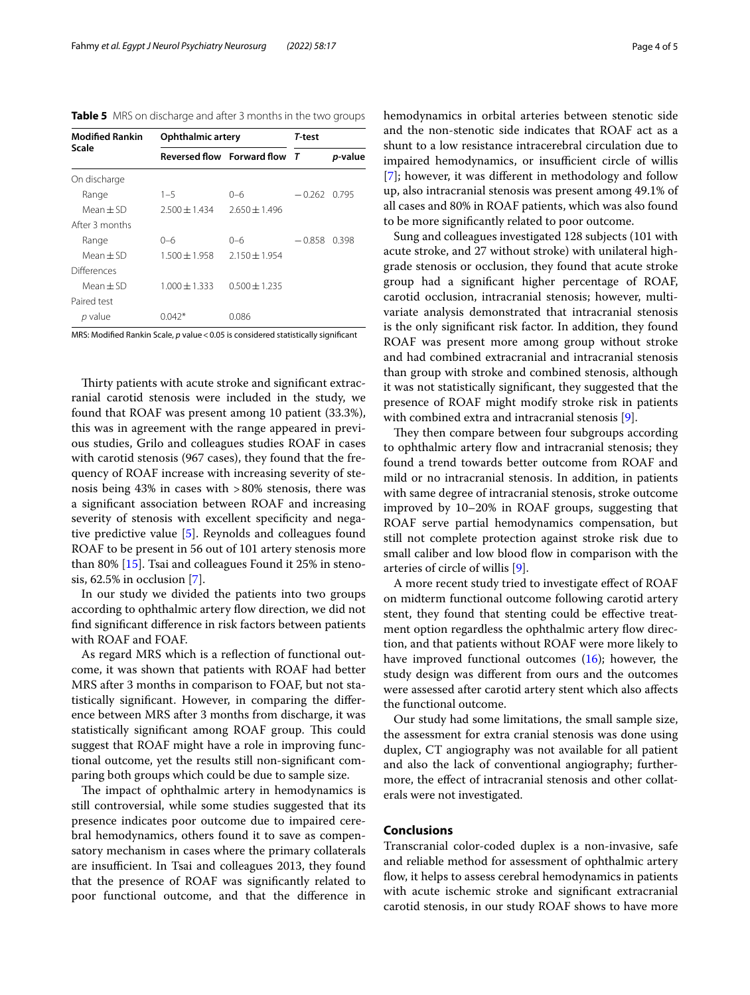<span id="page-3-0"></span>**Table 5** MRS on discharge and after 3 months in the two groups

| <b>Modified Rankin</b> | Ophthalmic artery | T-test                       |          |         |
|------------------------|-------------------|------------------------------|----------|---------|
| Scale                  |                   | Reversed flow Forward flow T |          | p-value |
| On discharge           |                   |                              |          |         |
| Range                  | $1 - 5$           | 0-6                          | $-0.262$ | 0.795   |
| $Mean + SD$            | $2.500 \pm 1.434$ | $2.650 + 1.496$              |          |         |
| After 3 months         |                   |                              |          |         |
| Range                  | 0-6               | ი–რ                          | $-0.858$ | 0.398   |
| Mean + SD              | $1.500 \pm 1.958$ | $2.150 \pm 1.954$            |          |         |
| Differences            |                   |                              |          |         |
| Mean + SD              | $1.000 \pm 1.333$ | $0.500 \pm 1.235$            |          |         |
| Paired test            |                   |                              |          |         |
| p value                | በ በ42*            | 0.086                        |          |         |

MRS: Modified Rankin Scale, *p* value < 0.05 is considered statistically significant

Thirty patients with acute stroke and significant extracranial carotid stenosis were included in the study, we found that ROAF was present among 10 patient (33.3%), this was in agreement with the range appeared in previous studies, Grilo and colleagues studies ROAF in cases with carotid stenosis (967 cases), they found that the frequency of ROAF increase with increasing severity of stenosis being 43% in cases with >80% stenosis, there was a signifcant association between ROAF and increasing severity of stenosis with excellent specifcity and negative predictive value [\[5](#page-4-4)]. Reynolds and colleagues found ROAF to be present in 56 out of 101 artery stenosis more than 80% [[15\]](#page-4-14). Tsai and colleagues Found it 25% in stenosis, 62.5% in occlusion [[7\]](#page-4-6).

In our study we divided the patients into two groups according to ophthalmic artery flow direction, we did not fnd signifcant diference in risk factors between patients with ROAF and FOAF.

As regard MRS which is a refection of functional outcome, it was shown that patients with ROAF had better MRS after 3 months in comparison to FOAF, but not statistically signifcant. However, in comparing the diference between MRS after 3 months from discharge, it was statistically significant among ROAF group. This could suggest that ROAF might have a role in improving functional outcome, yet the results still non-signifcant comparing both groups which could be due to sample size.

The impact of ophthalmic artery in hemodynamics is still controversial, while some studies suggested that its presence indicates poor outcome due to impaired cerebral hemodynamics, others found it to save as compensatory mechanism in cases where the primary collaterals are insufficient. In Tsai and colleagues 2013, they found that the presence of ROAF was signifcantly related to poor functional outcome, and that the diference in hemodynamics in orbital arteries between stenotic side and the non-stenotic side indicates that ROAF act as a shunt to a low resistance intracerebral circulation due to impaired hemodynamics, or insufficient circle of willis [[7\]](#page-4-6); however, it was diferent in methodology and follow up, also intracranial stenosis was present among 49.1% of all cases and 80% in ROAF patients, which was also found to be more signifcantly related to poor outcome.

Sung and colleagues investigated 128 subjects (101 with acute stroke, and 27 without stroke) with unilateral highgrade stenosis or occlusion, they found that acute stroke group had a signifcant higher percentage of ROAF, carotid occlusion, intracranial stenosis; however, multivariate analysis demonstrated that intracranial stenosis is the only signifcant risk factor. In addition, they found ROAF was present more among group without stroke and had combined extracranial and intracranial stenosis than group with stroke and combined stenosis, although it was not statistically signifcant, they suggested that the presence of ROAF might modify stroke risk in patients with combined extra and intracranial stenosis [\[9](#page-4-8)].

They then compare between four subgroups according to ophthalmic artery flow and intracranial stenosis; they found a trend towards better outcome from ROAF and mild or no intracranial stenosis. In addition, in patients with same degree of intracranial stenosis, stroke outcome improved by 10–20% in ROAF groups, suggesting that ROAF serve partial hemodynamics compensation, but still not complete protection against stroke risk due to small caliber and low blood flow in comparison with the arteries of circle of willis [[9\]](#page-4-8).

A more recent study tried to investigate efect of ROAF on midterm functional outcome following carotid artery stent, they found that stenting could be efective treatment option regardless the ophthalmic artery flow direction, and that patients without ROAF were more likely to have improved functional outcomes  $(16)$ ; however, the study design was diferent from ours and the outcomes were assessed after carotid artery stent which also afects the functional outcome.

Our study had some limitations, the small sample size, the assessment for extra cranial stenosis was done using duplex, CT angiography was not available for all patient and also the lack of conventional angiography; furthermore, the efect of intracranial stenosis and other collaterals were not investigated.

## **Conclusions**

Transcranial color-coded duplex is a non-invasive, safe and reliable method for assessment of ophthalmic artery fow, it helps to assess cerebral hemodynamics in patients with acute ischemic stroke and signifcant extracranial carotid stenosis, in our study ROAF shows to have more